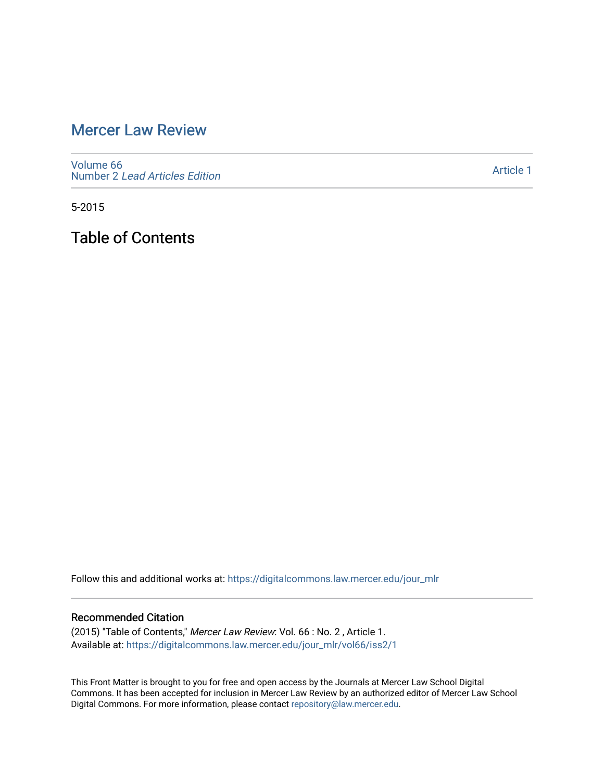# [Mercer Law Review](https://digitalcommons.law.mercer.edu/jour_mlr)

[Volume 66](https://digitalcommons.law.mercer.edu/jour_mlr/vol66) Number 2 [Lead Articles Edition](https://digitalcommons.law.mercer.edu/jour_mlr/vol66/iss2)

[Article 1](https://digitalcommons.law.mercer.edu/jour_mlr/vol66/iss2/1) 

5-2015

Table of Contents

Follow this and additional works at: [https://digitalcommons.law.mercer.edu/jour\\_mlr](https://digitalcommons.law.mercer.edu/jour_mlr?utm_source=digitalcommons.law.mercer.edu%2Fjour_mlr%2Fvol66%2Fiss2%2F1&utm_medium=PDF&utm_campaign=PDFCoverPages)

#### Recommended Citation

(2015) "Table of Contents," Mercer Law Review: Vol. 66 : No. 2 , Article 1. Available at: [https://digitalcommons.law.mercer.edu/jour\\_mlr/vol66/iss2/1](https://digitalcommons.law.mercer.edu/jour_mlr/vol66/iss2/1?utm_source=digitalcommons.law.mercer.edu%2Fjour_mlr%2Fvol66%2Fiss2%2F1&utm_medium=PDF&utm_campaign=PDFCoverPages)

This Front Matter is brought to you for free and open access by the Journals at Mercer Law School Digital Commons. It has been accepted for inclusion in Mercer Law Review by an authorized editor of Mercer Law School Digital Commons. For more information, please contact [repository@law.mercer.edu](mailto:repository@law.mercer.edu).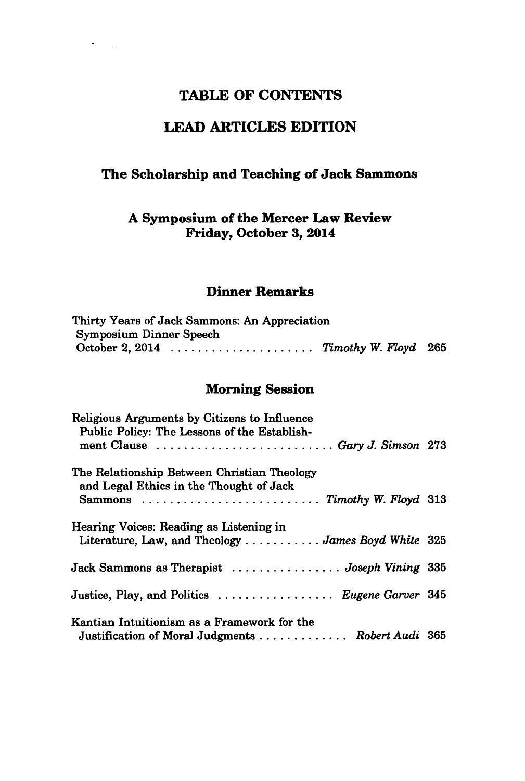# **TABLE OF CONTENTS**

# **LEAD ARTICLES EDITION**

#### **The Scholarship and Teaching of Jack Sammons**

#### **A Symposium of the Mercer Law Review Friday, October 3, 2014**

#### **Dinner Remarks**

| Thirty Years of Jack Sammons: An Appreciation |  |
|-----------------------------------------------|--|
| <b>Symposium Dinner Speech</b>                |  |
| October 2, 2014 $\ldots$ Timothy W. Floyd 265 |  |

#### Morning Session

| Religious Arguments by Citizens to Influence<br>Public Policy: The Lessons of the Establish-                            |  |
|-------------------------------------------------------------------------------------------------------------------------|--|
| ment Clause  Gary J. Simson 273                                                                                         |  |
| The Relationship Between Christian Theology<br>and Legal Ethics in the Thought of Jack                                  |  |
|                                                                                                                         |  |
| Hearing Voices: Reading as Listening in<br>Literature, Law, and Theology $\dots \dots \dots \dots$ James Boyd White 325 |  |
| Jack Sammons as Therapist  Joseph Vining 335                                                                            |  |
| Justice, Play, and Politics  Eugene Garver 345                                                                          |  |
| Kantian Intuitionism as a Framework for the<br>Justification of Moral Judgments  Robert Audi 365                        |  |